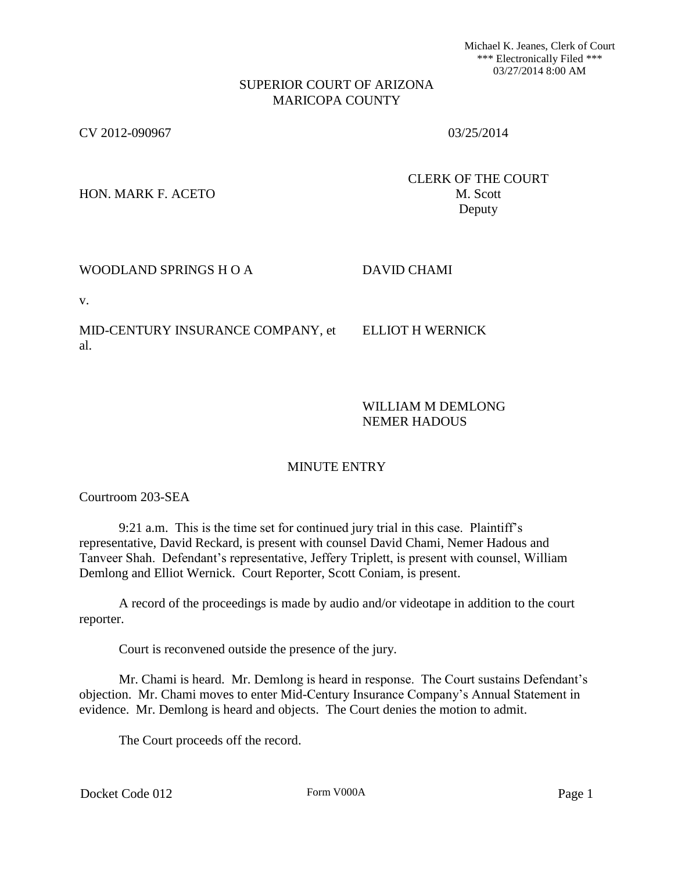Michael K. Jeanes, Clerk of Court \*\*\* Electronically Filed \*\*\* 03/27/2014 8:00 AM

#### SUPERIOR COURT OF ARIZONA MARICOPA COUNTY

CV 2012-090967 03/25/2014

HON. MARK F. ACETO M. Scott

CLERK OF THE COURT Deputy

## WOODLAND SPRINGS H O A DAVID CHAMI

v.

MID-CENTURY INSURANCE COMPANY, et al.

ELLIOT H WERNICK

WILLIAM M DEMLONG NEMER HADOUS

# MINUTE ENTRY

Courtroom 203-SEA

9:21 a.m. This is the time set for continued jury trial in this case. Plaintiff's representative, David Reckard, is present with counsel David Chami, Nemer Hadous and Tanveer Shah. Defendant's representative, Jeffery Triplett, is present with counsel, William Demlong and Elliot Wernick. Court Reporter, Scott Coniam, is present.

A record of the proceedings is made by audio and/or videotape in addition to the court reporter.

Court is reconvened outside the presence of the jury.

Mr. Chami is heard. Mr. Demlong is heard in response. The Court sustains Defendant's objection. Mr. Chami moves to enter Mid-Century Insurance Company's Annual Statement in evidence. Mr. Demlong is heard and objects. The Court denies the motion to admit.

The Court proceeds off the record.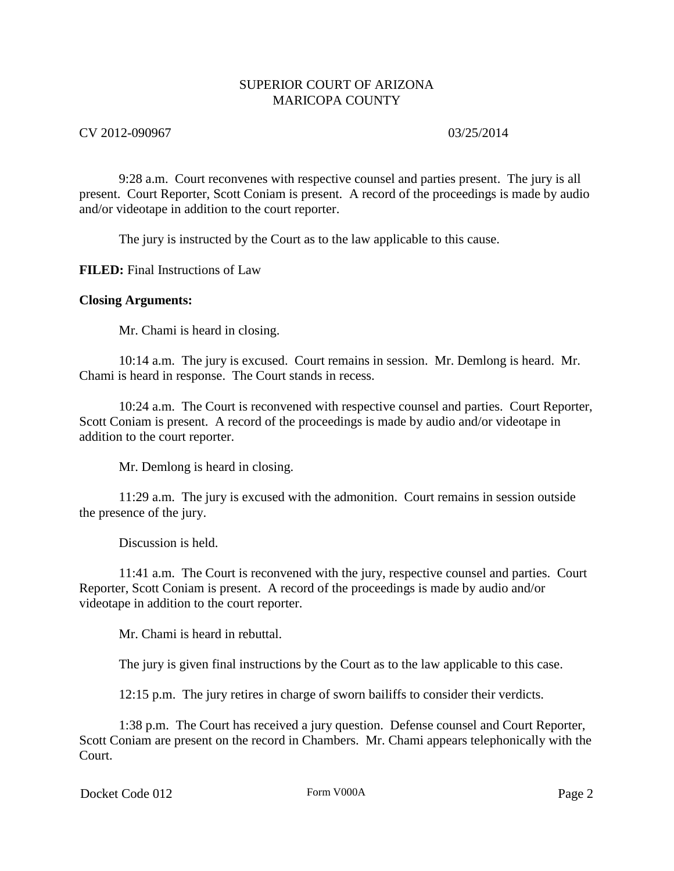# CV 2012-090967 03/25/2014

9:28 a.m. Court reconvenes with respective counsel and parties present. The jury is all present. Court Reporter, Scott Coniam is present. A record of the proceedings is made by audio and/or videotape in addition to the court reporter.

The jury is instructed by the Court as to the law applicable to this cause.

**FILED:** Final Instructions of Law

#### **Closing Arguments:**

Mr. Chami is heard in closing.

10:14 a.m. The jury is excused. Court remains in session. Mr. Demlong is heard. Mr. Chami is heard in response. The Court stands in recess.

10:24 a.m. The Court is reconvened with respective counsel and parties. Court Reporter, Scott Coniam is present. A record of the proceedings is made by audio and/or videotape in addition to the court reporter.

Mr. Demlong is heard in closing.

11:29 a.m. The jury is excused with the admonition. Court remains in session outside the presence of the jury.

Discussion is held.

11:41 a.m. The Court is reconvened with the jury, respective counsel and parties. Court Reporter, Scott Coniam is present. A record of the proceedings is made by audio and/or videotape in addition to the court reporter.

Mr. Chami is heard in rebuttal.

The jury is given final instructions by the Court as to the law applicable to this case.

12:15 p.m. The jury retires in charge of sworn bailiffs to consider their verdicts.

1:38 p.m. The Court has received a jury question. Defense counsel and Court Reporter, Scott Coniam are present on the record in Chambers. Mr. Chami appears telephonically with the Court.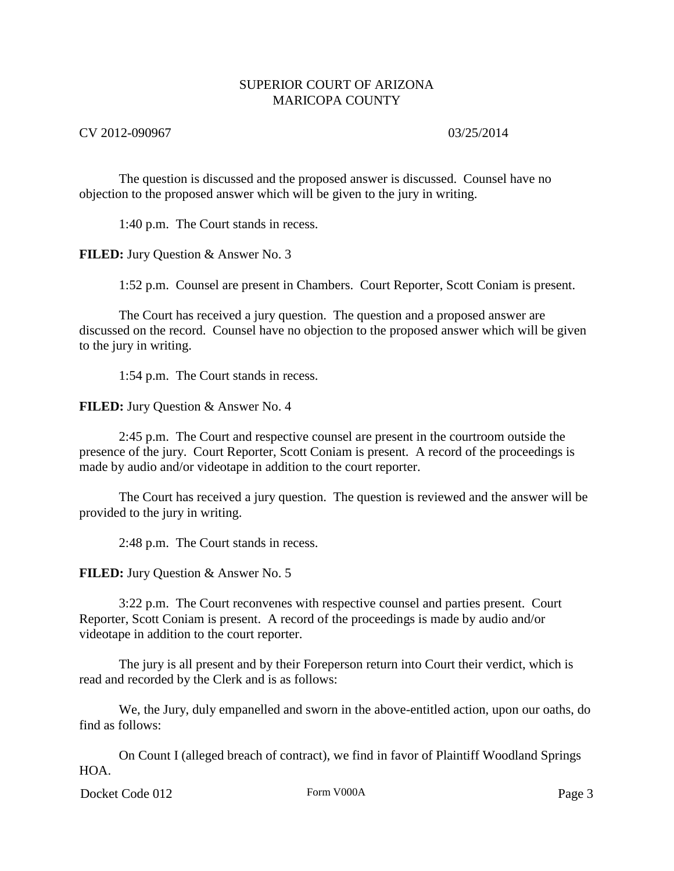### CV 2012-090967 03/25/2014

The question is discussed and the proposed answer is discussed. Counsel have no objection to the proposed answer which will be given to the jury in writing.

1:40 p.m. The Court stands in recess.

**FILED:** Jury Question & Answer No. 3

1:52 p.m. Counsel are present in Chambers. Court Reporter, Scott Coniam is present.

The Court has received a jury question. The question and a proposed answer are discussed on the record. Counsel have no objection to the proposed answer which will be given to the jury in writing.

1:54 p.m. The Court stands in recess.

**FILED:** Jury Question & Answer No. 4

2:45 p.m. The Court and respective counsel are present in the courtroom outside the presence of the jury. Court Reporter, Scott Coniam is present. A record of the proceedings is made by audio and/or videotape in addition to the court reporter.

The Court has received a jury question. The question is reviewed and the answer will be provided to the jury in writing.

2:48 p.m. The Court stands in recess.

**FILED:** Jury Question & Answer No. 5

3:22 p.m. The Court reconvenes with respective counsel and parties present. Court Reporter, Scott Coniam is present. A record of the proceedings is made by audio and/or videotape in addition to the court reporter.

The jury is all present and by their Foreperson return into Court their verdict, which is read and recorded by the Clerk and is as follows:

We, the Jury, duly empanelled and sworn in the above-entitled action, upon our oaths, do find as follows:

On Count I (alleged breach of contract), we find in favor of Plaintiff Woodland Springs HOA.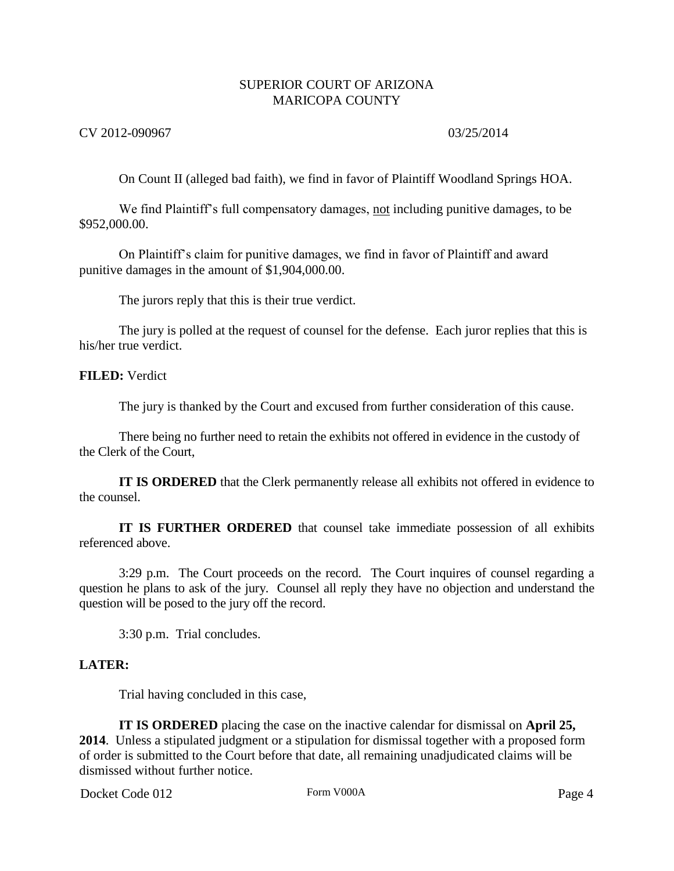### CV 2012-090967 03/25/2014

On Count II (alleged bad faith), we find in favor of Plaintiff Woodland Springs HOA.

We find Plaintiff's full compensatory damages, not including punitive damages, to be \$952,000.00.

On Plaintiff's claim for punitive damages, we find in favor of Plaintiff and award punitive damages in the amount of \$1,904,000.00.

The jurors reply that this is their true verdict.

The jury is polled at the request of counsel for the defense. Each juror replies that this is his/her true verdict.

#### **FILED:** Verdict

The jury is thanked by the Court and excused from further consideration of this cause.

There being no further need to retain the exhibits not offered in evidence in the custody of the Clerk of the Court,

**IT IS ORDERED** that the Clerk permanently release all exhibits not offered in evidence to the counsel.

**IT IS FURTHER ORDERED** that counsel take immediate possession of all exhibits referenced above.

3:29 p.m. The Court proceeds on the record. The Court inquires of counsel regarding a question he plans to ask of the jury. Counsel all reply they have no objection and understand the question will be posed to the jury off the record.

3:30 p.m. Trial concludes.

#### **LATER:**

Trial having concluded in this case,

**IT IS ORDERED** placing the case on the inactive calendar for dismissal on **April 25, 2014**. Unless a stipulated judgment or a stipulation for dismissal together with a proposed form of order is submitted to the Court before that date, all remaining unadjudicated claims will be dismissed without further notice.